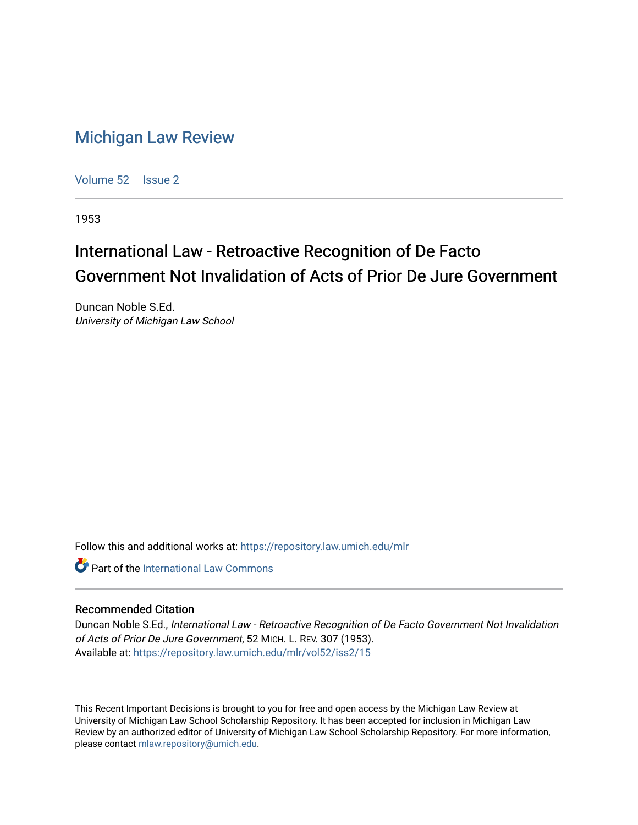## [Michigan Law Review](https://repository.law.umich.edu/mlr)

[Volume 52](https://repository.law.umich.edu/mlr/vol52) | [Issue 2](https://repository.law.umich.edu/mlr/vol52/iss2)

1953

## International Law - Retroactive Recognition of De Facto Government Not Invalidation of Acts of Prior De Jure Government

Duncan Noble S.Ed. University of Michigan Law School

Follow this and additional works at: [https://repository.law.umich.edu/mlr](https://repository.law.umich.edu/mlr?utm_source=repository.law.umich.edu%2Fmlr%2Fvol52%2Fiss2%2F15&utm_medium=PDF&utm_campaign=PDFCoverPages) 

**Part of the International Law Commons** 

## Recommended Citation

Duncan Noble S.Ed., International Law - Retroactive Recognition of De Facto Government Not Invalidation of Acts of Prior De Jure Government, 52 MICH. L. REV. 307 (1953). Available at: [https://repository.law.umich.edu/mlr/vol52/iss2/15](https://repository.law.umich.edu/mlr/vol52/iss2/15?utm_source=repository.law.umich.edu%2Fmlr%2Fvol52%2Fiss2%2F15&utm_medium=PDF&utm_campaign=PDFCoverPages) 

This Recent Important Decisions is brought to you for free and open access by the Michigan Law Review at University of Michigan Law School Scholarship Repository. It has been accepted for inclusion in Michigan Law Review by an authorized editor of University of Michigan Law School Scholarship Repository. For more information, please contact [mlaw.repository@umich.edu.](mailto:mlaw.repository@umich.edu)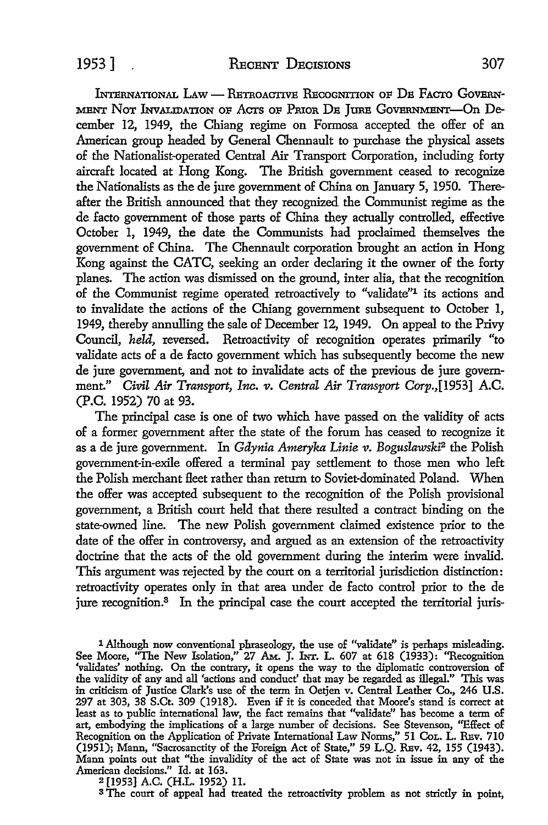INTERNATIONAL LAW - RETROACTIVE RECOGNITION OF DE FACTO GOVERN-MENT NOT INVALIDATION OF ACTS OF PRIOR DE JURE GOVERNMENT-On December 12, 1949, the Chiang regime on Formosa accepted the offer of an American group headed by General Chennault to purchase the physical assets of the Nationalist-operated Central Air Transport Corporation, including forty aircraft located at Hong Kong. The British government ceased to recognize the Nationalists as the de jure government of China on January 5, 1950. Thereafter the British announced that they recognized the Communist regime as the de facto government of those parts of China they actually controlled, effective October 1, 1949, the date the Communists had proclaimed themselves the government of China. The Chennault corporation brought an action in Hong Kong against the CATC, seeking an order declaring it the owner of the forty planes. The action was dismissed on the ground, inter alia, that the recognition of the Communist regime operated retroactively to "validate"1 its actions and to invalidate the actions of the Chiang government subsequent to October 1, 1949, thereby annulling the sale of December 12, 1949. On appeal to the Privy Council, *held,* reversed. Retroactivity of recognition operates primarily "to validate acts of a de facto government which has subsequently become the new de jure government, and not to invalidate acts of the previous de jure government." *Civil Air Transport, Inc. v. Central Air Transport Corp.*,[1953] A.C. (P.C. 1952) 70 at 93.

The principal case is one of two which have passed on the validity of acts of a former government after the state of the forum has ceased to recognize it as a de jure government. In *Gdynia Ameryka Linie v*. Boguslawski<sup>2</sup> the Polish government-in-exile offered a terminal pay settlement to those men who left the Polish merchant fleet rather than return to Soviet-dominated Poland. When the offer was accepted subsequent to the recognition of the Polish provisional government, a British court held that there resulted a contract binding on the state-owned line. The new Polish government claimed existence prior to the date of the offer in controversy, and argued as an extension of the retroactivity doctrine that the acts of the old government during the interim were invalid. This argument was rejected by the court on a territorial jurisdiction distinction: retroactivity operates only in that area under de facto control prior to the de jure recognition.<sup>3</sup> In the principal case the court accepted the territorial juris-

1 Although now conventional phraseology, the use of "validate" is perhaps misleading. See Moore, "The New Isolation," 27 Am. J. Inr. L. 607 at 618 (1933): "Recognition 'validates' nothing. On the contrary, it opens the way to the diplomatic controversion of the validity of any and all 'actions and conduct' that may be regarded as illegal." This was in criticism of Justice Clark's use of the term in Oetjen v. Central Leather Co., 246 U.S. 297 at 303, 38 S.Ct. 309 (1918). Even if it is conceded that Moore's stand is correct at least as to public international law, the fact remains that "validate" has become a term of art, embodying the implications of a large number of decisions. See Stevenson, ''Effect of Recognition on the Application of Private International Law Norms," 51 CoL. L. REV. 710 (1951); Mann, "Sacrosanctity of the Foreign Act of State," 59 L.Q. REv. 42, 155 (1943). Mann points out that "the invalidity of the act of State was not in issue in any of the American decisions." Id. at 163.

<sup>2</sup>[1953] A.C. (H.L. 1952) 11.

<sup>3</sup> The court of appeal had treated the retroactivity problem as not strictly in point,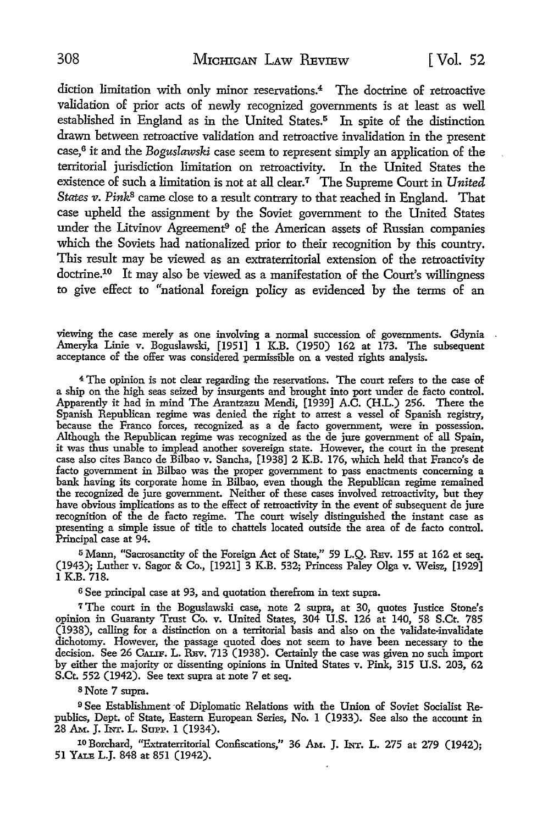diction limitation with only minor reservations.4 The doctrine of retroactive validation of prior acts of newly recognized governments is at least as well established in England as in the United States.<sup>5</sup> In spite of the distinction drawn between retroactive validation and retroactive invalidation in the present case,<sup>6</sup> it and the *Boguslawski* case seem to represent simply an application of the territorial jurisdiction limitation on retroactivity. In the United States the existence of such a limitation is not at all clear.<sup>7</sup> The Supreme Court in *United States v. Pink*<sup>8</sup> came close to a result contrary to that reached in England. That case upheld the assignment by the Soviet government to the United States under the Litvinov Agreement<sup>9</sup> of the American assets of Russian companies which the Soviets had nationalized prior to their recognition by this country. This result may be viewed as an extraterritorial extension of the retroactivity doctrine.10 It may also be viewed as a manifestation of the Court's willingness to give effect to "national foreign policy as evidenced by the terms of an

viewing the case merely as one involving a normal succession of governments. Gdynia Ameryka Linie v. Boguslawski, [1951] 1 K.B. (1950) 162 at 173. The subsequent acceptance of the offer was considered permissible on a vested rights analysis.

<sup>4</sup>The opinion is not clear regarding the reservations. The court refers to the case of a ship on the high seas seized by insurgents and brought into port under de facto control. Apparently it had in mind The Arantzazu Mendi, [1939] A.C. (H.L.) 256. There the Spanish Republican regime was denied the right to arrest a vessel of Spanish registry, because the Franco forces, recognized as a de facto government, were in possession. Although the Republican regime was recognized as the de jure government of all Spain, it was thus unable to implead another sovereign state. However, the court in the present case also cites Banco de Bilbao v. Sancha, [1938] 2 K.B. 176, which held that Franco's de facto government in Bilbao was the proper government to pass enactments concerning a bank having its corporate home in Bilbao, even though the Republican regime remained the recognized de jure government. Neither of these cases involved retroactivity, but they have obvious implications as to the effect of retroactivity in the event of subsequent de jure recognition of the de facto regime. The court wisely distinguished the instant case as presenting a simple issue of title to chattels located outside the area of de facto control. Principal case at 94.

<sup>5</sup>Mann, "Sacrosanctity of the Foreign Act of State," 59 L.Q. REv. 155 at 162 et seq. (1943); Luther v. Sagor & Co., [1921] 3 K.B. 532; Princess Paley Olga v. Weisz, [1929] 1 K.B. 718.

<sup>6</sup>See principal case at 93, and quotation therefrom in text supra.

<sup>7</sup>The court in the Boguslawski case, note 2 supra, at 30, quotes Justice Stone's opinion in Guaranty Trust Co. v. United States, 304 U.S. 126 at 140, 58 S.Ct. 785 (1938), calling for a distinction on a territorial basis and also on the validate-invalidate dichotomy. However, the passage quoted does not seem to have been necessary to the decision. See 26 CALIF. L. REV. 713 (1938). Certainly the case was given no such import by either the majority or dissenting opinions in United States v. Pink, 315 U.S. 203, 62 S.Ct. 552 (1942). See text supra at note 7 et seq.

s Note 7 supra.

<sup>9</sup> See Establishment of Diplomatic Relations with the Union of Soviet Socialist Republics, Dept. of State, Eastern European Series, No. 1 (1933). See also the account in 28 AM.. J. lNr. L. SUPP. 1 (1934).

10 Borchard, "Extraterritorial Confiscations," 36 Am. J. INT. L. 275 at 279 (1942); 51 YALB L.J. 848 at 851 (1942).